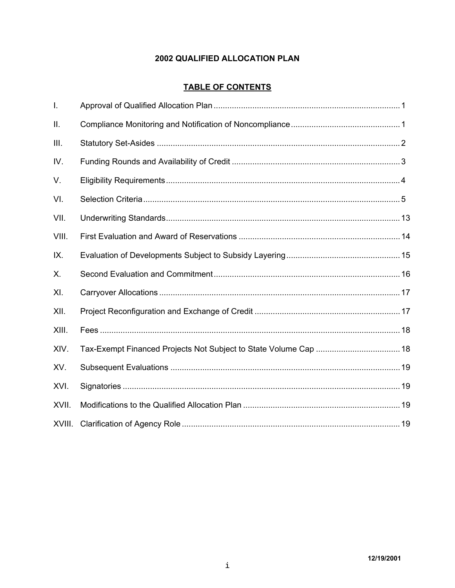# 2002 QUALIFIED ALLOCATION PLAN

# **TABLE OF CONTENTS**

| $\mathbf{I}$ . |  |
|----------------|--|
| Ш.             |  |
| III.           |  |
| IV.            |  |
| V.             |  |
| VI.            |  |
| VII.           |  |
| VIII.          |  |
| IX.            |  |
| Х.             |  |
| XI.            |  |
| XII.           |  |
| XIII.          |  |
| XIV.           |  |
| XV.            |  |
| XVI.           |  |
| XVII.          |  |
| XVIII.         |  |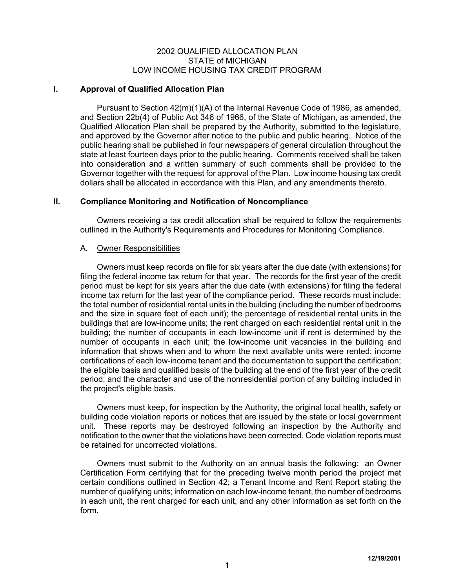#### 2002 QUALIFIED ALLOCATION PLAN STATE of MICHIGAN LOW INCOME HOUSING TAX CREDIT PROGRAM

#### **I. Approval of Qualified Allocation Plan**

Pursuant to Section 42(m)(1)(A) of the Internal Revenue Code of 1986, as amended, and Section 22b(4) of Public Act 346 of 1966, of the State of Michigan, as amended, the Qualified Allocation Plan shall be prepared by the Authority, submitted to the legislature, and approved by the Governor after notice to the public and public hearing. Notice of the public hearing shall be published in four newspapers of general circulation throughout the state at least fourteen days prior to the public hearing. Comments received shall be taken into consideration and a written summary of such comments shall be provided to the Governor together with the request for approval of the Plan. Low income housing tax credit dollars shall be allocated in accordance with this Plan, and any amendments thereto.

# **II. Compliance Monitoring and Notification of Noncompliance**

Owners receiving a tax credit allocation shall be required to follow the requirements outlined in the Authority's Requirements and Procedures for Monitoring Compliance.

# A. Owner Responsibilities

Owners must keep records on file for six years after the due date (with extensions) for filing the federal income tax return for that year. The records for the first year of the credit period must be kept for six years after the due date (with extensions) for filing the federal income tax return for the last year of the compliance period. These records must include: the total number of residential rental units in the building (including the number of bedrooms and the size in square feet of each unit); the percentage of residential rental units in the buildings that are low-income units; the rent charged on each residential rental unit in the building; the number of occupants in each low-income unit if rent is determined by the number of occupants in each unit; the low-income unit vacancies in the building and information that shows when and to whom the next available units were rented; income certifications of each low-income tenant and the documentation to support the certification; the eligible basis and qualified basis of the building at the end of the first year of the credit period; and the character and use of the nonresidential portion of any building included in the project's eligible basis.

Owners must keep, for inspection by the Authority, the original local health, safety or building code violation reports or notices that are issued by the state or local government unit. These reports may be destroyed following an inspection by the Authority and notification to the owner that the violations have been corrected. Code violation reports must be retained for uncorrected violations.

Owners must submit to the Authority on an annual basis the following: an Owner Certification Form certifying that for the preceding twelve month period the project met certain conditions outlined in Section 42; a Tenant Income and Rent Report stating the number of qualifying units; information on each low-income tenant, the number of bedrooms in each unit, the rent charged for each unit, and any other information as set forth on the form.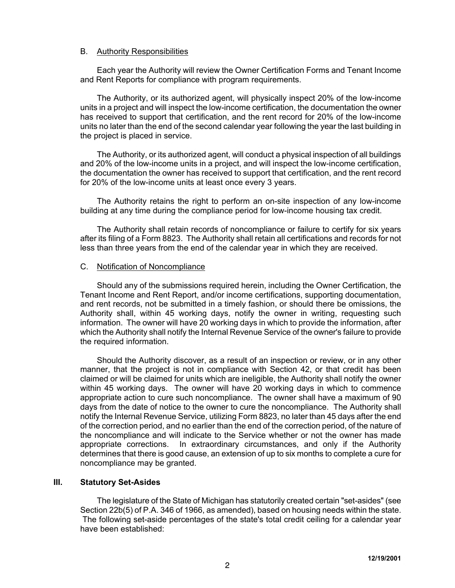#### B. Authority Responsibilities

Each year the Authority will review the Owner Certification Forms and Tenant Income and Rent Reports for compliance with program requirements.

The Authority, or its authorized agent, will physically inspect 20% of the low-income units in a project and will inspect the low-income certification, the documentation the owner has received to support that certification, and the rent record for 20% of the low-income units no later than the end of the second calendar year following the year the last building in the project is placed in service.

The Authority, or its authorized agent, will conduct a physical inspection of all buildings and 20% of the low-income units in a project, and will inspect the low-income certification, the documentation the owner has received to support that certification, and the rent record for 20% of the low-income units at least once every 3 years.

The Authority retains the right to perform an on-site inspection of any low-income building at any time during the compliance period for low-income housing tax credit.

The Authority shall retain records of noncompliance or failure to certify for six years after its filing of a Form 8823. The Authority shall retain all certifications and records for not less than three years from the end of the calendar year in which they are received.

#### C. Notification of Noncompliance

Should any of the submissions required herein, including the Owner Certification, the Tenant Income and Rent Report, and/or income certifications, supporting documentation, and rent records, not be submitted in a timely fashion, or should there be omissions, the Authority shall, within 45 working days, notify the owner in writing, requesting such information. The owner will have 20 working days in which to provide the information, after which the Authority shall notify the Internal Revenue Service of the owner's failure to provide the required information.

Should the Authority discover, as a result of an inspection or review, or in any other manner, that the project is not in compliance with Section 42, or that credit has been claimed or will be claimed for units which are ineligible, the Authority shall notify the owner within 45 working days. The owner will have 20 working days in which to commence appropriate action to cure such noncompliance. The owner shall have a maximum of 90 days from the date of notice to the owner to cure the noncompliance. The Authority shall notify the Internal Revenue Service, utilizing Form 8823, no later than 45 days after the end of the correction period, and no earlier than the end of the correction period, of the nature of the noncompliance and will indicate to the Service whether or not the owner has made appropriate corrections. In extraordinary circumstances, and only if the Authority determines that there is good cause, an extension of up to six months to complete a cure for noncompliance may be granted.

# **III. Statutory Set-Asides**

The legislature of the State of Michigan has statutorily created certain "set-asides" (see Section 22b(5) of P.A. 346 of 1966, as amended), based on housing needs within the state. The following set-aside percentages of the state's total credit ceiling for a calendar year have been established: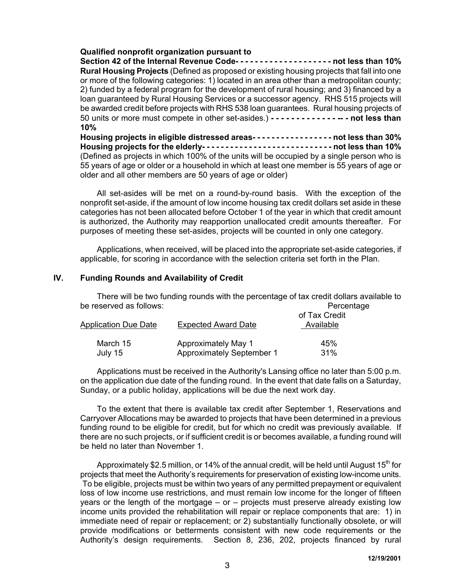# **Qualified nonprofit organization pursuant to**

**Section 42 of the Internal Revenue Code- - - - - - - - - - - - - - - - - - - - not less than 10% Rural Housing Projects** (Defined as proposed or existing housing projects that fall into one or more of the following categories: 1) located in an area other than a metropolitan county; 2) funded by a federal program for the development of rural housing; and 3) financed by a loan guaranteed by Rural Housing Services or a successor agency. RHS 515 projects will be awarded credit before projects with RHS 538 loan guarantees. Rural housing projects of 50 units or more must compete in other set-asides.) **- - - - - - - - - - - - - -- - not less than 10%**

**Housing projects in eligible distressed areas- - - - - - - - - - - - - - - - - not less than 30% Housing projects for the elderly- - - - - - - - - - - - - - - - - - - - - - - - - - - - not less than 10%** (Defined as projects in which 100% of the units will be occupied by a single person who is 55 years of age or older or a household in which at least one member is 55 years of age or older and all other members are 50 years of age or older)

All set-asides will be met on a round-by-round basis. With the exception of the nonprofit set-aside, if the amount of low income housing tax credit dollars set aside in these categories has not been allocated before October 1 of the year in which that credit amount is authorized, the Authority may reapportion unallocated credit amounts thereafter. For purposes of meeting these set-asides, projects will be counted in only one category.

Applications, when received, will be placed into the appropriate set-aside categories, if applicable, for scoring in accordance with the selection criteria set forth in the Plan.

# **IV. Funding Rounds and Availability of Credit**

There will be two funding rounds with the percentage of tax credit dollars available to be reserved as follows:  $\blacksquare$ 

| Application Due Date<br>March 15 | <b>Expected Award Date</b>                                     | of Tax Credit<br>Available |  |  |
|----------------------------------|----------------------------------------------------------------|----------------------------|--|--|
| July 15                          | <b>Approximately May 1</b><br><b>Approximately September 1</b> | 45%<br>31%                 |  |  |

Applications must be received in the Authority's Lansing office no later than 5:00 p.m. on the application due date of the funding round. In the event that date falls on a Saturday, Sunday, or a public holiday, applications will be due the next work day.

To the extent that there is available tax credit after September 1, Reservations and Carryover Allocations may be awarded to projects that have been determined in a previous funding round to be eligible for credit, but for which no credit was previously available. If there are no such projects, or if sufficient credit is or becomes available, a funding round will be held no later than November 1.

Approximately \$2.5 million, or 14% of the annual credit, will be held until August 15<sup>th</sup> for projects that meet the Authority's requirements for preservation of existing low-income units. To be eligible, projects must be within two years of any permitted prepayment or equivalent loss of low income use restrictions, and must remain low income for the longer of fifteen years or the length of the mortgage – or – projects must preserve already existing low income units provided the rehabilitation will repair or replace components that are: 1) in immediate need of repair or replacement; or 2) substantially functionally obsolete, or will provide modifications or betterments consistent with new code requirements or the Authority's design requirements. Section 8, 236, 202, projects financed by rural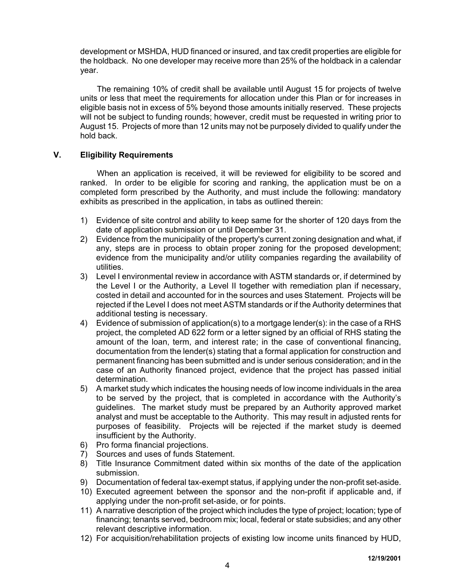development or MSHDA, HUD financed or insured, and tax credit properties are eligible for the holdback. No one developer may receive more than 25% of the holdback in a calendar year.

The remaining 10% of credit shall be available until August 15 for projects of twelve units or less that meet the requirements for allocation under this Plan or for increases in eligible basis not in excess of 5% beyond those amounts initially reserved. These projects will not be subject to funding rounds; however, credit must be requested in writing prior to August 15. Projects of more than 12 units may not be purposely divided to qualify under the hold back.

# **V. Eligibility Requirements**

When an application is received, it will be reviewed for eligibility to be scored and ranked. In order to be eligible for scoring and ranking, the application must be on a completed form prescribed by the Authority, and must include the following: mandatory exhibits as prescribed in the application, in tabs as outlined therein:

- 1) Evidence of site control and ability to keep same for the shorter of 120 days from the date of application submission or until December 31.
- 2) Evidence from the municipality of the property's current zoning designation and what, if any, steps are in process to obtain proper zoning for the proposed development; evidence from the municipality and/or utility companies regarding the availability of utilities.
- 3) Level I environmental review in accordance with ASTM standards or, if determined by the Level I or the Authority, a Level II together with remediation plan if necessary, costed in detail and accounted for in the sources and uses Statement. Projects will be rejected if the Level I does not meet ASTM standards or if the Authority determines that additional testing is necessary.
- 4) Evidence of submission of application(s) to a mortgage lender(s): in the case of a RHS project, the completed AD 622 form or a letter signed by an official of RHS stating the amount of the loan, term, and interest rate; in the case of conventional financing, documentation from the lender(s) stating that a formal application for construction and permanent financing has been submitted and is under serious consideration; and in the case of an Authority financed project, evidence that the project has passed initial determination.
- 5) A market study which indicates the housing needs of low income individuals in the area to be served by the project, that is completed in accordance with the Authority's guidelines. The market study must be prepared by an Authority approved market analyst and must be acceptable to the Authority. This may result in adjusted rents for purposes of feasibility. Projects will be rejected if the market study is deemed insufficient by the Authority.
- 6) Pro forma financial projections.
- 7) Sources and uses of funds Statement.
- 8) Title Insurance Commitment dated within six months of the date of the application submission.
- 9) Documentation of federal tax-exempt status, if applying under the non-profit set-aside.
- 10) Executed agreement between the sponsor and the non-profit if applicable and, if applying under the non-profit set-aside, or for points.
- 11) A narrative description of the project which includes the type of project; location; type of financing; tenants served, bedroom mix; local, federal or state subsidies; and any other relevant descriptive information.
- 12) For acquisition/rehabilitation projects of existing low income units financed by HUD,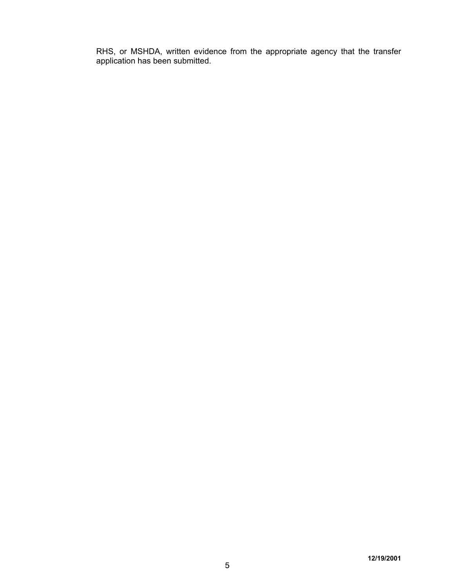RHS, or MSHDA, written evidence from the appropriate agency that the transfer application has been submitted.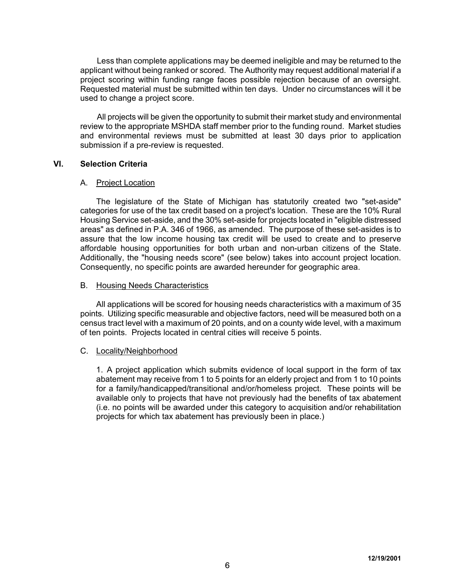Less than complete applications may be deemed ineligible and may be returned to the applicant without being ranked or scored. The Authority may request additional material if a project scoring within funding range faces possible rejection because of an oversight. Requested material must be submitted within ten days. Under no circumstances will it be used to change a project score.

All projects will be given the opportunity to submit their market study and environmental review to the appropriate MSHDA staff member prior to the funding round. Market studies and environmental reviews must be submitted at least 30 days prior to application submission if a pre-review is requested.

#### **VI. Selection Criteria**

#### A. Project Location

The legislature of the State of Michigan has statutorily created two "set-aside" categories for use of the tax credit based on a project's location. These are the 10% Rural Housing Service set-aside, and the 30% set-aside for projects located in "eligible distressed areas" as defined in P.A. 346 of 1966, as amended. The purpose of these set-asides is to assure that the low income housing tax credit will be used to create and to preserve affordable housing opportunities for both urban and non-urban citizens of the State. Additionally, the "housing needs score" (see below) takes into account project location. Consequently, no specific points are awarded hereunder for geographic area.

#### B. Housing Needs Characteristics

All applications will be scored for housing needs characteristics with a maximum of 35 points. Utilizing specific measurable and objective factors, need will be measured both on a census tract level with a maximum of 20 points, and on a county wide level, with a maximum of ten points. Projects located in central cities will receive 5 points.

#### C. Locality/Neighborhood

1. A project application which submits evidence of local support in the form of tax abatement may receive from 1 to 5 points for an elderly project and from 1 to 10 points for a family/handicapped/transitional and/or/homeless project. These points will be available only to projects that have not previously had the benefits of tax abatement (i.e. no points will be awarded under this category to acquisition and/or rehabilitation projects for which tax abatement has previously been in place.)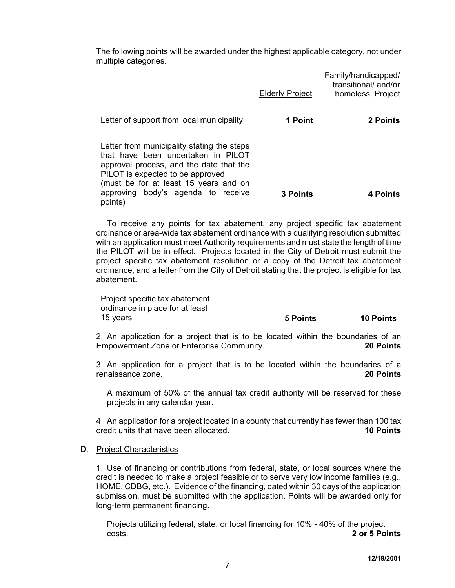The following points will be awarded under the highest applicable category, not under multiple categories.

|                                                                                                                                                                                                          | <b>Elderly Project</b> | Family/handicapped/<br>transitional/and/or<br>homeless Project |
|----------------------------------------------------------------------------------------------------------------------------------------------------------------------------------------------------------|------------------------|----------------------------------------------------------------|
| Letter of support from local municipality                                                                                                                                                                | 1 Point                | 2 Points                                                       |
| Letter from municipality stating the steps<br>that have been undertaken in PILOT<br>approval process, and the date that the<br>PILOT is expected to be approved<br>(must be for at least 15 years and on |                        |                                                                |
| approving body's agenda to receive<br>points)                                                                                                                                                            | <b>3 Points</b>        | 4 Points                                                       |

To receive any points for tax abatement, any project specific tax abatement ordinance or area-wide tax abatement ordinance with a qualifying resolution submitted with an application must meet Authority requirements and must state the length of time the PILOT will be in effect. Projects located in the City of Detroit must submit the project specific tax abatement resolution or a copy of the Detroit tax abatement ordinance, and a letter from the City of Detroit stating that the project is eligible for tax abatement.

Project specific tax abatement ordinance in place for at least

#### 15 years **5 Points 10 Points**

2. An application for a project that is to be located within the boundaries of an Empowerment Zone or Enterprise Community. **20 Points**

3. An application for a project that is to be located within the boundaries of a renaissance zone. **20 Points**

A maximum of 50% of the annual tax credit authority will be reserved for these projects in any calendar year.

4. An application for a project located in a county that currently has fewer than 100 tax credit units that have been allocated. **10 Points**

#### D. Project Characteristics

1. Use of financing or contributions from federal, state, or local sources where the credit is needed to make a project feasible or to serve very low income families (e.g., HOME, CDBG, etc.). Evidence of the financing, dated within 30 days of the application submission, must be submitted with the application. Points will be awarded only for long-term permanent financing.

Projects utilizing federal, state, or local financing for 10% - 40% of the project costs. **2 or 5 Points**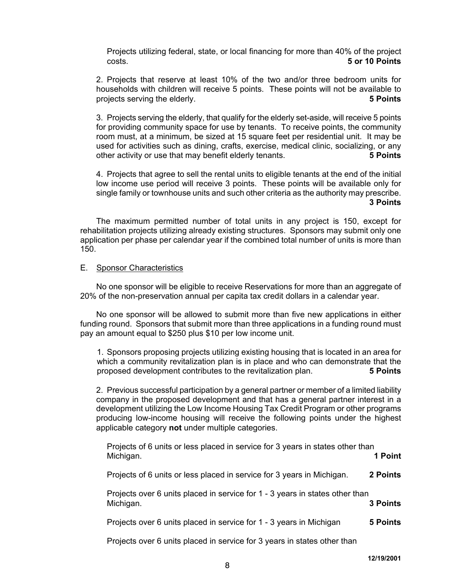Projects utilizing federal, state, or local financing for more than 40% of the project costs. **5 or 10 Points**

2. Projects that reserve at least 10% of the two and/or three bedroom units for households with children will receive 5 points. These points will not be available to projects serving the elderly. **5 Points**

3. Projects serving the elderly, that qualify for the elderly set-aside, will receive 5 points for providing community space for use by tenants. To receive points, the community room must, at a minimum, be sized at 15 square feet per residential unit. It may be used for activities such as dining, crafts, exercise, medical clinic, socializing, or any other activity or use that may benefit elderly tenants. **5 Points**

4. Projects that agree to sell the rental units to eligible tenants at the end of the initial low income use period will receive 3 points. These points will be available only for single family or townhouse units and such other criteria as the authority may prescribe.  **3 Points** 

The maximum permitted number of total units in any project is 150, except for rehabilitation projects utilizing already existing structures. Sponsors may submit only one application per phase per calendar year if the combined total number of units is more than 150.

#### E. Sponsor Characteristics

No one sponsor will be eligible to receive Reservations for more than an aggregate of 20% of the non-preservation annual per capita tax credit dollars in a calendar year.

No one sponsor will be allowed to submit more than five new applications in either funding round. Sponsors that submit more than three applications in a funding round must pay an amount equal to \$250 plus \$10 per low income unit.

1. Sponsors proposing projects utilizing existing housing that is located in an area for which a community revitalization plan is in place and who can demonstrate that the proposed development contributes to the revitalization plan. **5 Points** 

2. Previous successful participation by a general partner or member of a limited liability company in the proposed development and that has a general partner interest in a development utilizing the Low Income Housing Tax Credit Program or other programs producing low-income housing will receive the following points under the highest applicable category **not** under multiple categories.

Projects of 6 units or less placed in service for 3 years in states other than Michigan. **1 Point**

Projects of 6 units or less placed in service for 3 years in Michigan. **2 Points**

Projects over 6 units placed in service for 1 - 3 years in states other than Michigan. **3 Points**

Projects over 6 units placed in service for 1 - 3 years in Michigan **5 Points**

Projects over 6 units placed in service for 3 years in states other than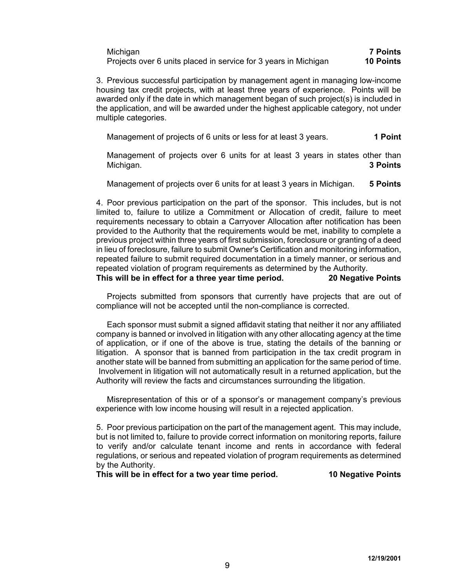| Michigan                                                        | <b>7 Points</b>  |
|-----------------------------------------------------------------|------------------|
| Projects over 6 units placed in service for 3 years in Michigan | <b>10 Points</b> |

3. Previous successful participation by management agent in managing low-income housing tax credit projects, with at least three years of experience. Points will be awarded only if the date in which management began of such project(s) is included in the application, and will be awarded under the highest applicable category, not under multiple categories.

Management of projects of 6 units or less for at least 3 years. **1 Point**

Management of projects over 6 units for at least 3 years in states other than Michigan. **3 Points**

Management of projects over 6 units for at least 3 years in Michigan. **5 Points**

4. Poor previous participation on the part of the sponsor. This includes, but is not limited to, failure to utilize a Commitment or Allocation of credit, failure to meet requirements necessary to obtain a Carryover Allocation after notification has been provided to the Authority that the requirements would be met, inability to complete a previous project within three years of first submission, foreclosure or granting of a deed in lieu of foreclosure, failure to submit Owner's Certification and monitoring information, repeated failure to submit required documentation in a timely manner, or serious and repeated violation of program requirements as determined by the Authority. **This will be in effect for a three year time period. 20 Negative Points**

Projects submitted from sponsors that currently have projects that are out of compliance will not be accepted until the non-compliance is corrected.

Each sponsor must submit a signed affidavit stating that neither it nor any affiliated company is banned or involved in litigation with any other allocating agency at the time of application, or if one of the above is true, stating the details of the banning or litigation. A sponsor that is banned from participation in the tax credit program in another state will be banned from submitting an application for the same period of time. Involvement in litigation will not automatically result in a returned application, but the Authority will review the facts and circumstances surrounding the litigation.

Misrepresentation of this or of a sponsor's or management company's previous experience with low income housing will result in a rejected application.

5. Poor previous participation on the part of the management agent. This may include, but is not limited to, failure to provide correct information on monitoring reports, failure to verify and/or calculate tenant income and rents in accordance with federal regulations, or serious and repeated violation of program requirements as determined by the Authority.

**This will be in effect for a two year time period. 10 Negative Points**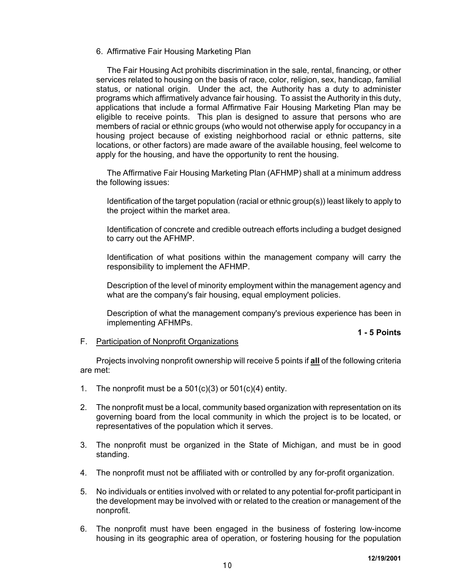6. Affirmative Fair Housing Marketing Plan

The Fair Housing Act prohibits discrimination in the sale, rental, financing, or other services related to housing on the basis of race, color, religion, sex, handicap, familial status, or national origin. Under the act, the Authority has a duty to administer programs which affirmatively advance fair housing. To assist the Authority in this duty, applications that include a formal Affirmative Fair Housing Marketing Plan may be eligible to receive points. This plan is designed to assure that persons who are members of racial or ethnic groups (who would not otherwise apply for occupancy in a housing project because of existing neighborhood racial or ethnic patterns, site locations, or other factors) are made aware of the available housing, feel welcome to apply for the housing, and have the opportunity to rent the housing.

The Affirmative Fair Housing Marketing Plan (AFHMP) shall at a minimum address the following issues:

Identification of the target population (racial or ethnic group(s)) least likely to apply to the project within the market area.

Identification of concrete and credible outreach efforts including a budget designed to carry out the AFHMP.

Identification of what positions within the management company will carry the responsibility to implement the AFHMP.

Description of the level of minority employment within the management agency and what are the company's fair housing, equal employment policies.

Description of what the management company's previous experience has been in implementing AFHMPs.

#### **1 - 5 Points**

#### F. Participation of Nonprofit Organizations

Projects involving nonprofit ownership will receive 5 points if **all** of the following criteria are met:

- 1. The nonprofit must be a  $501(c)(3)$  or  $501(c)(4)$  entity.
- 2. The nonprofit must be a local, community based organization with representation on its governing board from the local community in which the project is to be located, or representatives of the population which it serves.
- 3. The nonprofit must be organized in the State of Michigan, and must be in good standing.
- 4. The nonprofit must not be affiliated with or controlled by any for-profit organization.
- 5. No individuals or entities involved with or related to any potential for-profit participant in the development may be involved with or related to the creation or management of the nonprofit.
- 6. The nonprofit must have been engaged in the business of fostering low-income housing in its geographic area of operation, or fostering housing for the population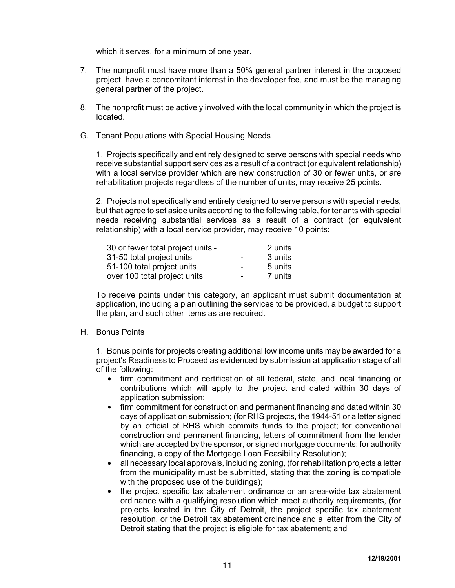which it serves, for a minimum of one year.

- 7. The nonprofit must have more than a 50% general partner interest in the proposed project, have a concomitant interest in the developer fee, and must be the managing general partner of the project.
- 8. The nonprofit must be actively involved with the local community in which the project is located.

#### G. Tenant Populations with Special Housing Needs

1. Projects specifically and entirely designed to serve persons with special needs who receive substantial support services as a result of a contract (or equivalent relationship) with a local service provider which are new construction of 30 or fewer units, or are rehabilitation projects regardless of the number of units, may receive 25 points.

2. Projects not specifically and entirely designed to serve persons with special needs, but that agree to set aside units according to the following table, for tenants with special needs receiving substantial services as a result of a contract (or equivalent relationship) with a local service provider, may receive 10 points:

| 30 or fewer total project units - |                          | 2 units |
|-----------------------------------|--------------------------|---------|
| 31-50 total project units         | $\overline{\phantom{0}}$ | 3 units |
| 51-100 total project units        | $\overline{\phantom{0}}$ | 5 units |
| over 100 total project units      | $\overline{\phantom{0}}$ | 7 units |

To receive points under this category, an applicant must submit documentation at application, including a plan outlining the services to be provided, a budget to support the plan, and such other items as are required.

#### H. Bonus Points

1. Bonus points for projects creating additional low income units may be awarded for a project's Readiness to Proceed as evidenced by submission at application stage of all of the following:

- firm commitment and certification of all federal, state, and local financing or contributions which will apply to the project and dated within 30 days of application submission;
- firm commitment for construction and permanent financing and dated within 30 days of application submission; (for RHS projects, the 1944-51 or a letter signed by an official of RHS which commits funds to the project; for conventional construction and permanent financing, letters of commitment from the lender which are accepted by the sponsor, or signed mortgage documents; for authority financing, a copy of the Mortgage Loan Feasibility Resolution);
- $\bullet$  all necessary local approvals, including zoning, (for rehabilitation projects a letter from the municipality must be submitted, stating that the zoning is compatible with the proposed use of the buildings);
- the project specific tax abatement ordinance or an area-wide tax abatement ordinance with a qualifying resolution which meet authority requirements, (for projects located in the City of Detroit, the project specific tax abatement resolution, or the Detroit tax abatement ordinance and a letter from the City of Detroit stating that the project is eligible for tax abatement; and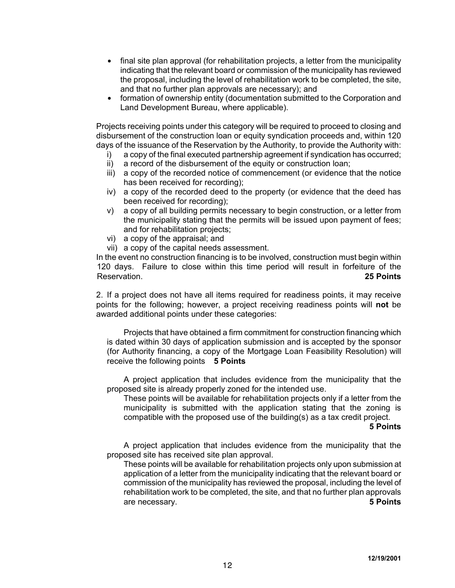- final site plan approval (for rehabilitation projects, a letter from the municipality indicating that the relevant board or commission of the municipality has reviewed the proposal, including the level of rehabilitation work to be completed, the site, and that no further plan approvals are necessary); and
- formation of ownership entity (documentation submitted to the Corporation and Land Development Bureau, where applicable).

Projects receiving points under this category will be required to proceed to closing and disbursement of the construction loan or equity syndication proceeds and, within 120 days of the issuance of the Reservation by the Authority, to provide the Authority with:

- i) a copy of the final executed partnership agreement if syndication has occurred;
- ii) a record of the disbursement of the equity or construction loan;
- iii) a copy of the recorded notice of commencement (or evidence that the notice has been received for recording);
- iv) a copy of the recorded deed to the property (or evidence that the deed has been received for recording);
- v) a copy of all building permits necessary to begin construction, or a letter from the municipality stating that the permits will be issued upon payment of fees; and for rehabilitation projects;
- vi) a copy of the appraisal; and
- vii) a copy of the capital needs assessment.

In the event no construction financing is to be involved, construction must begin within 120 days. Failure to close within this time period will result in forfeiture of the Reservation. **25 Points**

2. If a project does not have all items required for readiness points, it may receive points for the following; however, a project receiving readiness points will **not** be awarded additional points under these categories:

Projects that have obtained a firm commitment for construction financing which is dated within 30 days of application submission and is accepted by the sponsor (for Authority financing, a copy of the Mortgage Loan Feasibility Resolution) will receive the following points **5 Points**

A project application that includes evidence from the municipality that the proposed site is already properly zoned for the intended use.

These points will be available for rehabilitation projects only if a letter from the municipality is submitted with the application stating that the zoning is compatible with the proposed use of the building(s) as a tax credit project.

#### **5 Points**

A project application that includes evidence from the municipality that the proposed site has received site plan approval.

These points will be available for rehabilitation projects only upon submission at application of a letter from the municipality indicating that the relevant board or commission of the municipality has reviewed the proposal, including the level of rehabilitation work to be completed, the site, and that no further plan approvals are necessary. **5 Points**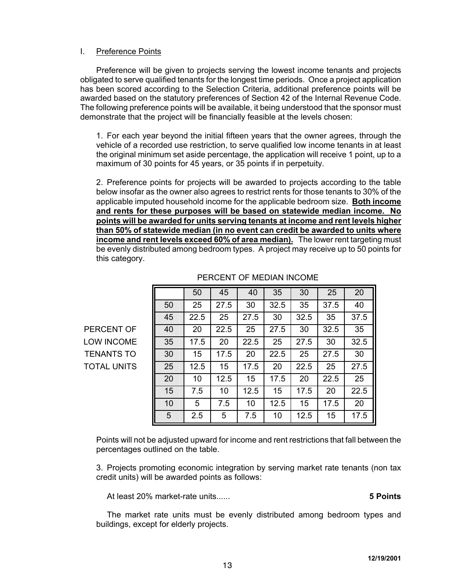# I. Preference Points

Preference will be given to projects serving the lowest income tenants and projects obligated to serve qualified tenants for the longest time periods. Once a project application has been scored according to the Selection Criteria, additional preference points will be awarded based on the statutory preferences of Section 42 of the Internal Revenue Code. The following preference points will be available, it being understood that the sponsor must demonstrate that the project will be financially feasible at the levels chosen:

1. For each year beyond the initial fifteen years that the owner agrees, through the vehicle of a recorded use restriction, to serve qualified low income tenants in at least the original minimum set aside percentage, the application will receive 1 point, up to a maximum of 30 points for 45 years, or 35 points if in perpetuity.

2. Preference points for projects will be awarded to projects according to the table below insofar as the owner also agrees to restrict rents for those tenants to 30% of the applicable imputed household income for the applicable bedroom size. **Both income and rents for these purposes will be based on statewide median income. No points will be awarded for units serving tenants at income and rent levels higher than 50% of statewide median (in no event can credit be awarded to units where income and rent levels exceed 60% of area median).** The lower rent targeting must be evenly distributed among bedroom types. A project may receive up to 50 points for this category.

|    | 50   | 45   | 40   | 35   | 30   | 25   | 20   |
|----|------|------|------|------|------|------|------|
| 50 | 25   | 27.5 | 30   | 32.5 | 35   | 37.5 | 40   |
| 45 | 22.5 | 25   | 27.5 | 30   | 32.5 | 35   | 37.5 |
| 40 | 20   | 22.5 | 25   | 27.5 | 30   | 32.5 | 35   |
| 35 | 17.5 | 20   | 22.5 | 25   | 27.5 | 30   | 32.5 |
| 30 | 15   | 17.5 | 20   | 22.5 | 25   | 27.5 | 30   |
| 25 | 12.5 | 15   | 17.5 | 20   | 22.5 | 25   | 27.5 |
| 20 | 10   | 12.5 | 15   | 17.5 | 20   | 22.5 | 25   |
| 15 | 7.5  | 10   | 12.5 | 15   | 17.5 | 20   | 22.5 |
| 10 | 5    | 7.5  | 10   | 12.5 | 15   | 17.5 | 20   |
| 5  | 2.5  | 5    | 7.5  | 10   | 12.5 | 15   | 17.5 |

#### PERCENT OF MEDIAN INCOME

PERCENT OF LOW INCOME **TENANTS TO TOTAL UNITS** 

> Points will not be adjusted upward for income and rent restrictions that fall between the percentages outlined on the table.

> 3. Projects promoting economic integration by serving market rate tenants (non tax credit units) will be awarded points as follows:

At least 20% market-rate units...... **5 Points**

The market rate units must be evenly distributed among bedroom types and buildings, except for elderly projects.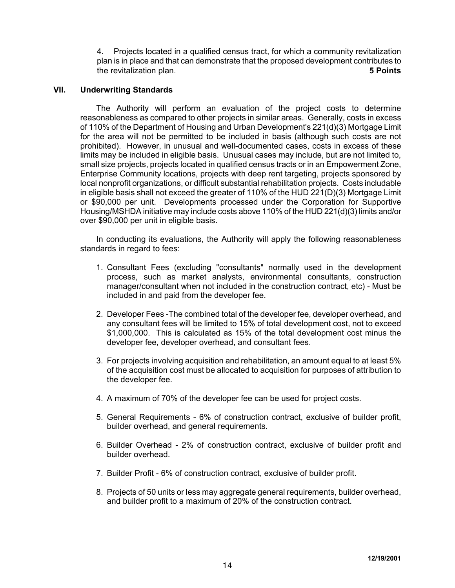4. Projects located in a qualified census tract, for which a community revitalization plan is in place and that can demonstrate that the proposed development contributes to the revitalization plan. **5 Points**

#### **VII. Underwriting Standards**

The Authority will perform an evaluation of the project costs to determine reasonableness as compared to other projects in similar areas. Generally, costs in excess of 110% of the Department of Housing and Urban Development's 221(d)(3) Mortgage Limit for the area will not be permitted to be included in basis (although such costs are not prohibited). However, in unusual and well-documented cases, costs in excess of these limits may be included in eligible basis. Unusual cases may include, but are not limited to, small size projects, projects located in qualified census tracts or in an Empowerment Zone, Enterprise Community locations, projects with deep rent targeting, projects sponsored by local nonprofit organizations, or difficult substantial rehabilitation projects. Costs includable in eligible basis shall not exceed the greater of 110% of the HUD 221(D)(3) Mortgage Limit or \$90,000 per unit. Developments processed under the Corporation for Supportive Housing/MSHDA initiative may include costs above 110% of the HUD 221(d)(3) limits and/or over \$90,000 per unit in eligible basis.

In conducting its evaluations, the Authority will apply the following reasonableness standards in regard to fees:

- 1. Consultant Fees (excluding "consultants" normally used in the development process, such as market analysts, environmental consultants, construction manager/consultant when not included in the construction contract, etc) - Must be included in and paid from the developer fee.
- 2. Developer Fees -The combined total of the developer fee, developer overhead, and any consultant fees will be limited to 15% of total development cost, not to exceed \$1,000,000. This is calculated as 15% of the total development cost minus the developer fee, developer overhead, and consultant fees.
- 3. For projects involving acquisition and rehabilitation, an amount equal to at least 5% of the acquisition cost must be allocated to acquisition for purposes of attribution to the developer fee.
- 4. A maximum of 70% of the developer fee can be used for project costs.
- 5. General Requirements 6% of construction contract, exclusive of builder profit, builder overhead, and general requirements.
- 6. Builder Overhead 2% of construction contract, exclusive of builder profit and builder overhead.
- 7. Builder Profit 6% of construction contract, exclusive of builder profit.
- 8. Projects of 50 units or less may aggregate general requirements, builder overhead, and builder profit to a maximum of 20% of the construction contract.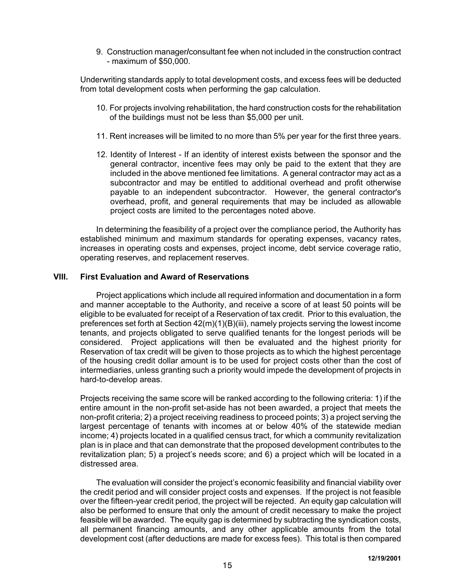9. Construction manager**/**consultant fee when not included in the construction contract - maximum of \$50,000.

Underwriting standards apply to total development costs, and excess fees will be deducted from total development costs when performing the gap calculation.

- 10. For projects involving rehabilitation, the hard construction costs for the rehabilitation of the buildings must not be less than \$5,000 per unit.
- 11. Rent increases will be limited to no more than 5% per year for the first three years.
- 12. Identity of Interest If an identity of interest exists between the sponsor and the general contractor, incentive fees may only be paid to the extent that they are included in the above mentioned fee limitations. A general contractor may act as a subcontractor and may be entitled to additional overhead and profit otherwise payable to an independent subcontractor. However, the general contractor's overhead, profit, and general requirements that may be included as allowable project costs are limited to the percentages noted above.

In determining the feasibility of a project over the compliance period, the Authority has established minimum and maximum standards for operating expenses, vacancy rates, increases in operating costs and expenses, project income, debt service coverage ratio, operating reserves, and replacement reserves.

#### **VIII. First Evaluation and Award of Reservations**

Project applications which include all required information and documentation in a form and manner acceptable to the Authority, and receive a score of at least 50 points will be eligible to be evaluated for receipt of a Reservation of tax credit. Prior to this evaluation, the preferences set forth at Section 42(m)(1)(B)(iii), namely projects serving the lowest income tenants, and projects obligated to serve qualified tenants for the longest periods will be considered. Project applications will then be evaluated and the highest priority for Reservation of tax credit will be given to those projects as to which the highest percentage of the housing credit dollar amount is to be used for project costs other than the cost of intermediaries, unless granting such a priority would impede the development of projects in hard-to-develop areas.

Projects receiving the same score will be ranked according to the following criteria: 1) if the entire amount in the non-profit set-aside has not been awarded, a project that meets the non-profit criteria; 2) a project receiving readiness to proceed points; 3) a project serving the largest percentage of tenants with incomes at or below 40% of the statewide median income; 4) projects located in a qualified census tract, for which a community revitalization plan is in place and that can demonstrate that the proposed development contributes to the revitalization plan; 5) a project's needs score; and 6) a project which will be located in a distressed area.

The evaluation will consider the project's economic feasibility and financial viability over the credit period and will consider project costs and expenses. If the project is not feasible over the fifteen-year credit period, the project will be rejected. An equity gap calculation will also be performed to ensure that only the amount of credit necessary to make the project feasible will be awarded. The equity gap is determined by subtracting the syndication costs, all permanent financing amounts, and any other applicable amounts from the total development cost (after deductions are made for excess fees). This total is then compared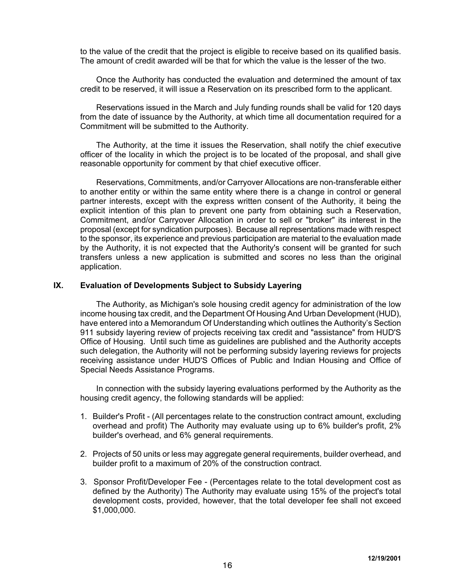to the value of the credit that the project is eligible to receive based on its qualified basis. The amount of credit awarded will be that for which the value is the lesser of the two.

Once the Authority has conducted the evaluation and determined the amount of tax credit to be reserved, it will issue a Reservation on its prescribed form to the applicant.

Reservations issued in the March and July funding rounds shall be valid for 120 days from the date of issuance by the Authority, at which time all documentation required for a Commitment will be submitted to the Authority.

The Authority, at the time it issues the Reservation, shall notify the chief executive officer of the locality in which the project is to be located of the proposal, and shall give reasonable opportunity for comment by that chief executive officer.

Reservations, Commitments, and/or Carryover Allocations are non-transferable either to another entity or within the same entity where there is a change in control or general partner interests, except with the express written consent of the Authority, it being the explicit intention of this plan to prevent one party from obtaining such a Reservation, Commitment, and/or Carryover Allocation in order to sell or "broker" its interest in the proposal (except for syndication purposes). Because all representations made with respect to the sponsor, its experience and previous participation are material to the evaluation made by the Authority, it is not expected that the Authority's consent will be granted for such transfers unless a new application is submitted and scores no less than the original application.

#### **IX. Evaluation of Developments Subject to Subsidy Layering**

The Authority, as Michigan's sole housing credit agency for administration of the low income housing tax credit, and the Department Of Housing And Urban Development (HUD), have entered into a Memorandum Of Understanding which outlines the Authority's Section 911 subsidy layering review of projects receiving tax credit and "assistance" from HUD'S Office of Housing. Until such time as guidelines are published and the Authority accepts such delegation, the Authority will not be performing subsidy layering reviews for projects receiving assistance under HUD'S Offices of Public and Indian Housing and Office of Special Needs Assistance Programs.

In connection with the subsidy layering evaluations performed by the Authority as the housing credit agency, the following standards will be applied:

- 1. Builder's Profit (All percentages relate to the construction contract amount, excluding overhead and profit) The Authority may evaluate using up to 6% builder's profit, 2% builder's overhead, and 6% general requirements.
- 2. Projects of 50 units or less may aggregate general requirements, builder overhead, and builder profit to a maximum of 20% of the construction contract.
- 3. Sponsor Profit/Developer Fee (Percentages relate to the total development cost as defined by the Authority) The Authority may evaluate using 15% of the project's total development costs, provided, however, that the total developer fee shall not exceed \$1,000,000.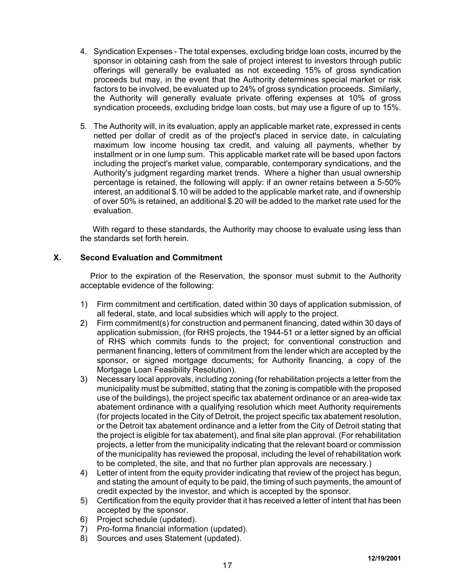- 4. Syndication Expenses The total expenses, excluding bridge loan costs, incurred by the sponsor in obtaining cash from the sale of project interest to investors through public offerings will generally be evaluated as not exceeding 15% of gross syndication proceeds but may, in the event that the Authority determines special market or risk factors to be involved, be evaluated up to 24% of gross syndication proceeds. Similarly, the Authority will generally evaluate private offering expenses at 10% of gross syndication proceeds, excluding bridge loan costs, but may use a figure of up to 15%.
- 5. The Authority will, in its evaluation, apply an applicable market rate, expressed in cents netted per dollar of credit as of the project's placed in service date, in calculating maximum low income housing tax credit, and valuing all payments, whether by installment or in one lump sum. This applicable market rate will be based upon factors including the project's market value, comparable, contemporary syndications, and the Authority's judgment regarding market trends. Where a higher than usual ownership percentage is retained, the following will apply: if an owner retains between a 5-50% interest, an additional \$.10 will be added to the applicable market rate, and if ownership of over 50% is retained, an additional \$.20 will be added to the market rate used for the evaluation.

With regard to these standards, the Authority may choose to evaluate using less than the standards set forth herein.

# **X. Second Evaluation and Commitment**

Prior to the expiration of the Reservation, the sponsor must submit to the Authority acceptable evidence of the following:

- 1) Firm commitment and certification, dated within 30 days of application submission, of all federal, state, and local subsidies which will apply to the project.
- 2) Firm commitment(s) for construction and permanent financing, dated within 30 days of application submission, (for RHS projects, the 1944-51 or a letter signed by an official of RHS which commits funds to the project; for conventional construction and permanent financing, letters of commitment from the lender which are accepted by the sponsor, or signed mortgage documents; for Authority financing, a copy of the Mortgage Loan Feasibility Resolution).
- 3) Necessary local approvals, including zoning (for rehabilitation projects a letter from the municipality must be submitted, stating that the zoning is compatible with the proposed use of the buildings), the project specific tax abatement ordinance or an area-wide tax abatement ordinance with a qualifying resolution which meet Authority requirements (for projects located in the City of Detroit, the project specific tax abatement resolution, or the Detroit tax abatement ordinance and a letter from the City of Detroit stating that the project is eligible for tax abatement), and final site plan approval. (For rehabilitation projects, a letter from the municipality indicating that the relevant board or commission of the municipality has reviewed the proposal, including the level of rehabilitation work to be completed, the site, and that no further plan approvals are necessary.)
- 4) Letter of intent from the equity provider indicating that review of the project has begun, and stating the amount of equity to be paid, the timing of such payments, the amount of credit expected by the investor, and which is accepted by the sponsor.
- 5) Certification from the equity provider that it has received a letter of intent that has been accepted by the sponsor.
- 6) Project schedule (updated).
- 7) Pro-forma financial information (updated).
- 8) Sources and uses Statement (updated).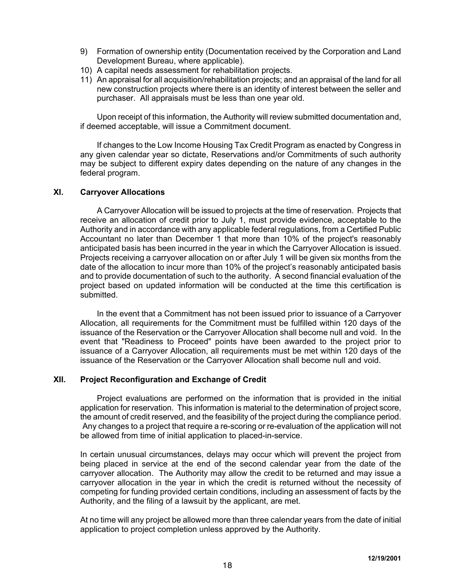- 9) Formation of ownership entity (Documentation received by the Corporation and Land Development Bureau, where applicable).
- 10) A capital needs assessment for rehabilitation projects.
- 11) An appraisal for all acquisition/rehabilitation projects; and an appraisal of the land for all new construction projects where there is an identity of interest between the seller and purchaser. All appraisals must be less than one year old.

Upon receipt of this information, the Authority will review submitted documentation and, if deemed acceptable, will issue a Commitment document.

If changes to the Low Income Housing Tax Credit Program as enacted by Congress in any given calendar year so dictate, Reservations and/or Commitments of such authority may be subject to different expiry dates depending on the nature of any changes in the federal program.

# **XI. Carryover Allocations**

A Carryover Allocation will be issued to projects at the time of reservation. Projects that receive an allocation of credit prior to July 1, must provide evidence, acceptable to the Authority and in accordance with any applicable federal regulations, from a Certified Public Accountant no later than December 1 that more than 10% of the project's reasonably anticipated basis has been incurred in the year in which the Carryover Allocation is issued. Projects receiving a carryover allocation on or after July 1 will be given six months from the date of the allocation to incur more than 10% of the project's reasonably anticipated basis and to provide documentation of such to the authority. A second financial evaluation of the project based on updated information will be conducted at the time this certification is submitted.

In the event that a Commitment has not been issued prior to issuance of a Carryover Allocation, all requirements for the Commitment must be fulfilled within 120 days of the issuance of the Reservation or the Carryover Allocation shall become null and void. In the event that "Readiness to Proceed" points have been awarded to the project prior to issuance of a Carryover Allocation, all requirements must be met within 120 days of the issuance of the Reservation or the Carryover Allocation shall become null and void.

## **XII. Project Reconfiguration and Exchange of Credit**

Project evaluations are performed on the information that is provided in the initial application for reservation. This information is material to the determination of project score, the amount of credit reserved, and the feasibility of the project during the compliance period. Any changes to a project that require a re-scoring or re-evaluation of the application will not be allowed from time of initial application to placed-in-service.

In certain unusual circumstances, delays may occur which will prevent the project from being placed in service at the end of the second calendar year from the date of the carryover allocation. The Authority may allow the credit to be returned and may issue a carryover allocation in the year in which the credit is returned without the necessity of competing for funding provided certain conditions, including an assessment of facts by the Authority, and the filing of a lawsuit by the applicant, are met.

At no time will any project be allowed more than three calendar years from the date of initial application to project completion unless approved by the Authority.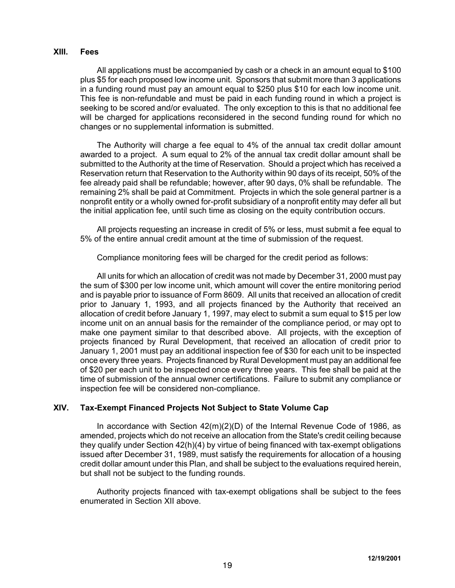#### **XIII. Fees**

All applications must be accompanied by cash or a check in an amount equal to \$100 plus \$5 for each proposed low income unit. Sponsors that submit more than 3 applications in a funding round must pay an amount equal to \$250 plus \$10 for each low income unit. This fee is non-refundable and must be paid in each funding round in which a project is seeking to be scored and/or evaluated. The only exception to this is that no additional fee will be charged for applications reconsidered in the second funding round for which no changes or no supplemental information is submitted.

The Authority will charge a fee equal to 4% of the annual tax credit dollar amount awarded to a project. A sum equal to 2% of the annual tax credit dollar amount shall be submitted to the Authority at the time of Reservation. Should a project which has received a Reservation return that Reservation to the Authority within 90 days of its receipt, 50% of the fee already paid shall be refundable; however, after 90 days, 0% shall be refundable. The remaining 2% shall be paid at Commitment. Projects in which the sole general partner is a nonprofit entity or a wholly owned for-profit subsidiary of a nonprofit entity may defer all but the initial application fee, until such time as closing on the equity contribution occurs.

All projects requesting an increase in credit of 5% or less, must submit a fee equal to 5% of the entire annual credit amount at the time of submission of the request.

Compliance monitoring fees will be charged for the credit period as follows:

All units for which an allocation of credit was not made by December 31, 2000 must pay the sum of \$300 per low income unit, which amount will cover the entire monitoring period and is payable prior to issuance of Form 8609. All units that received an allocation of credit prior to January 1, 1993, and all projects financed by the Authority that received an allocation of credit before January 1, 1997, may elect to submit a sum equal to \$15 per low income unit on an annual basis for the remainder of the compliance period, or may opt to make one payment similar to that described above. All projects, with the exception of projects financed by Rural Development, that received an allocation of credit prior to January 1, 2001 must pay an additional inspection fee of \$30 for each unit to be inspected once every three years. Projects financed by Rural Development must pay an additional fee of \$20 per each unit to be inspected once every three years. This fee shall be paid at the time of submission of the annual owner certifications. Failure to submit any compliance or inspection fee will be considered non-compliance.

# **XIV. Tax-Exempt Financed Projects Not Subject to State Volume Cap**

In accordance with Section 42(m)(2)(D) of the Internal Revenue Code of 1986, as amended, projects which do not receive an allocation from the State's credit ceiling because they qualify under Section 42(h)(4) by virtue of being financed with tax-exempt obligations issued after December 31, 1989, must satisfy the requirements for allocation of a housing credit dollar amount under this Plan, and shall be subject to the evaluations required herein, but shall not be subject to the funding rounds.

Authority projects financed with tax-exempt obligations shall be subject to the fees enumerated in Section XII above.